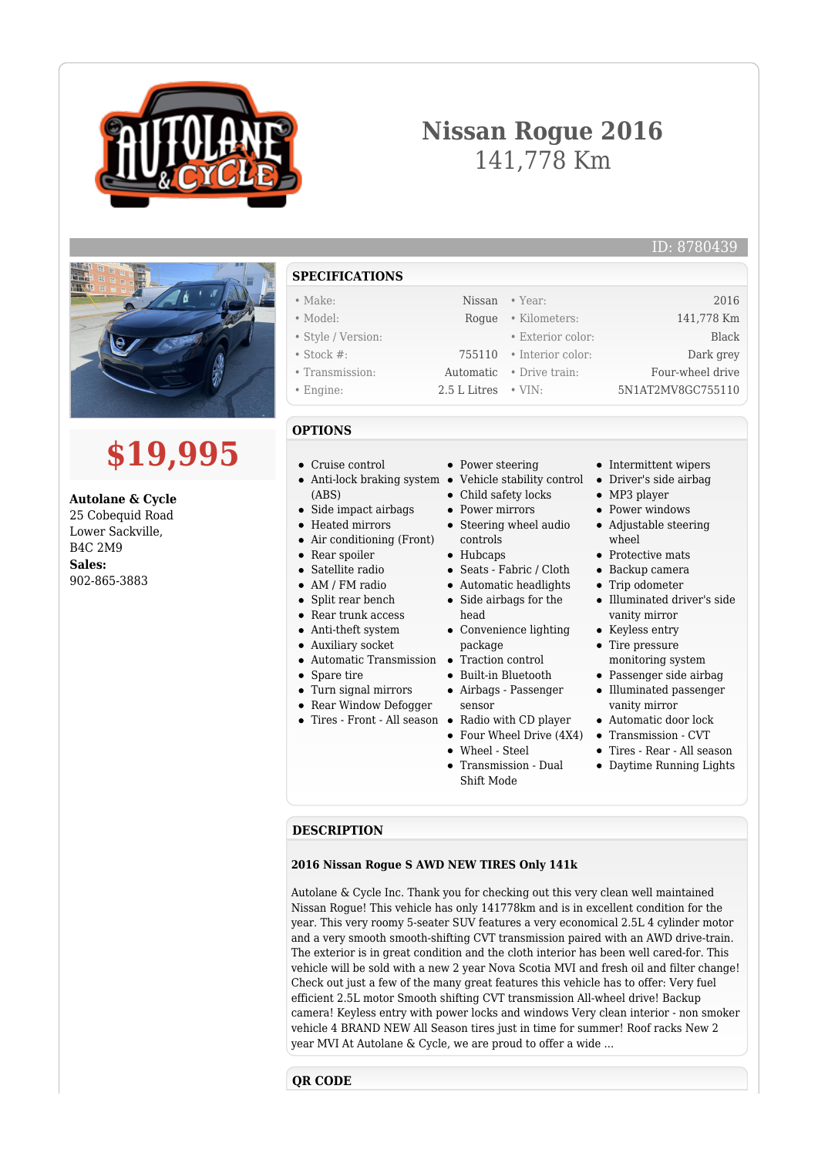

# **Nissan Rogue 2016** 141,778 Km



# **\$19,995**

**Autolane & Cycle** 25 Cobequid Road Lower Sackville, B4C 2M9 **Sales:** 902-865-3883

• Make: Nissan • Year: 2016 • Model: Rogue • Kilometers: 141,778 Km • Style / Version: • Exterior color: Black • Stock #: 755110 • Interior color: Dark grey • Transmission: Automatic • Drive train: Four-wheel drive • Engine: 2.5 L Litres • VIN: 5N1AT2MV8GC755110

## **OPTIONS**

- Cruise control
- Anti-lock braking system Vehicle stability control (ABS)
- Side impact airbags  $\bullet$
- Heated mirrors
- Air conditioning (Front)
- Rear spoiler  $\bullet$
- Satellite radio
- AM / FM radio
- Split rear bench
- Rear trunk access
- Anti-theft system
- Auxiliary socket
- Automatic Transmission Traction control
- Spare tire
- Turn signal mirrors
- Rear Window Defogger
- 

• Power steering

- 
- Child safety locks
- Power mirrors
- Steering wheel audio
- controls
- Hubcaps
- Seats Fabric / Cloth
- 
- Side airbags for the
- head
- package
- 
- 
- Airbags Passenger sensor
- 
- Four Wheel Drive (4X4)
- Wheel Steel
- Transmission Dual Shift Mode
- Intermittent wipers
- Driver's side airbag
- MP3 player
- Power windows Adjustable steering wheel
- Protective mats
- Backup camera
- Trip odometer
- Illuminated driver's side vanity mirror
- Keyless entry
- Tire pressure monitoring system
- Passenger side airbag
- Illuminated passenger vanity mirror
- Automatic door lock
- Transmission CVT
- Tires Rear All season
- Daytime Running Lights

#### **DESCRIPTION**

#### **2016 Nissan Rogue S AWD NEW TIRES Only 141k**

Autolane & Cycle Inc. Thank you for checking out this very clean well maintained Nissan Rogue! This vehicle has only 141778km and is in excellent condition for the year. This very roomy 5-seater SUV features a very economical 2.5L 4 cylinder motor and a very smooth smooth-shifting CVT transmission paired with an AWD drive-train. The exterior is in great condition and the cloth interior has been well cared-for. This vehicle will be sold with a new 2 year Nova Scotia MVI and fresh oil and filter change! Check out just a few of the many great features this vehicle has to offer: Very fuel efficient 2.5L motor Smooth shifting CVT transmission All-wheel drive! Backup camera! Keyless entry with power locks and windows Very clean interior - non smoker vehicle 4 BRAND NEW All Season tires just in time for summer! Roof racks New 2 year MVI At Autolane & Cycle, we are proud to offer a wide ...

### **QR CODE**

**SPECIFICATIONS**

- 
- 
- 
- -
	-
- 
- Automatic headlights
- 
- Convenience lighting
- 
- 
- Built-in Bluetooth
- 

Tires - Front - All season Radio with CD player

- 
- 
- 
- -

ID: 8780439

- -